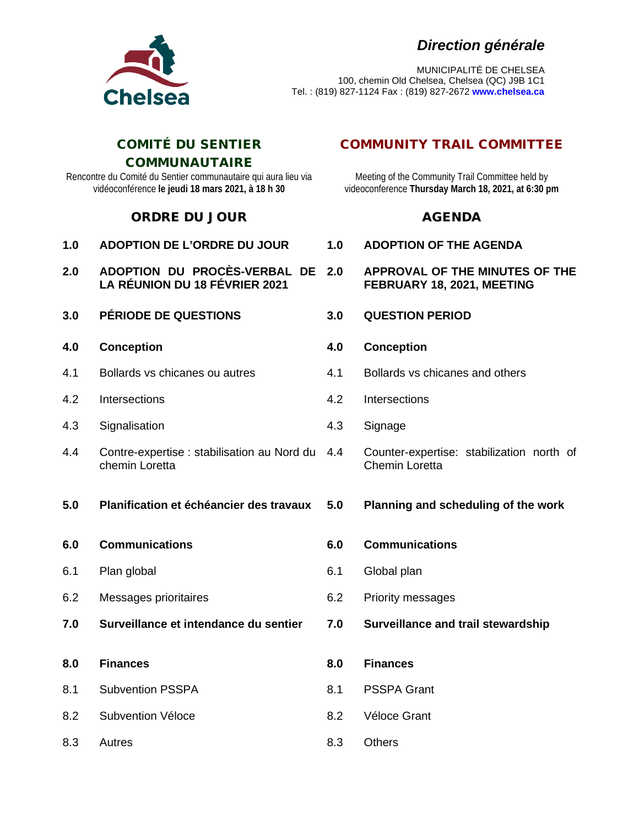## *Direction générale*



MUNICIPALITÉ DE CHELSEA 100, chemin Old Chelsea, Chelsea (QC) J9B 1C1 Tel. : (819) 827-1124 Fax : (819) 827-2672 **www.chelsea.ca**

#### COMITÉ DU SENTIER **COMMUNAUTAIRE**

Rencontre du Comité du Sentier communautaire qui aura lieu via vidéoconférence **le jeudi 18 mars 2021, à 18 h 30**

### ORDRE DU JOUR AGENDA

| 1.0 | <b>ADOPTION DE L'ORDRE DU JOUR</b>                                   |  |
|-----|----------------------------------------------------------------------|--|
| 2.0 | ADOPTION DU PROCÈS-VERBAL DE<br><b>LA RÉUNION DU 18 FÉVRIER 2021</b> |  |
|     | <b>3.0 PÉRIODE DE QUESTIONS</b>                                      |  |
| 4.0 | <b>Conception</b>                                                    |  |
| 4.1 | Bollards vs chicanes ou autres                                       |  |
| 4.2 | Intersections                                                        |  |
| 4.3 | Signalisation                                                        |  |
| 4.4 | Contre-expertise : stabilisation au Nord du<br>chemin Loretta        |  |
| 5.0 | Planification et échéancier des travaux                              |  |
|     |                                                                      |  |

- **6.0 Communications**
- 6.1 Plan global
- 6.2 Messages prioritaires
- **7.0 Surveillance et intendance du sentier 7.0 Surveillance and trail stewardship**
- **8.0 Finances**
- 8.1 Subvention PSSPA
- 8.2 Subvention Véloce
- 8.3 Autres 8.3

## COMMUNITY TRAIL COMMITTEE

Meeting of the Community Trail Committee held by videoconference **Thursday March 18, 2021, at 6:30 pm**

- **1.0 ADOPTION DE L'ORDRE DU JOUR 1.0 ADOPTION OF THE AGENDA**
- **2.0 APPROVAL OF THE MINUTES OF THE FEBRUARY 18, 2021, MEETING**
- **3.0 PÉRIODE DE QUESTIONS 3.0 QUESTION PERIOD**
- **4.0 Conception**
- 4.1 Bollards vs chicanes and others
- 4.2 **Intersections**
- 4.3 Signage
- 4.4 Counter-expertise: stabilization north of Chemin Loretta

### **5.0 Planning and scheduling of the work**

- **6.0 Communications**
- 6.1 Global plan
- 6.2 Priority messages
- 
- **8.0 Finances**
- 8.1 PSSPA Grant
- 8.2 Véloce Grant
- **Others**